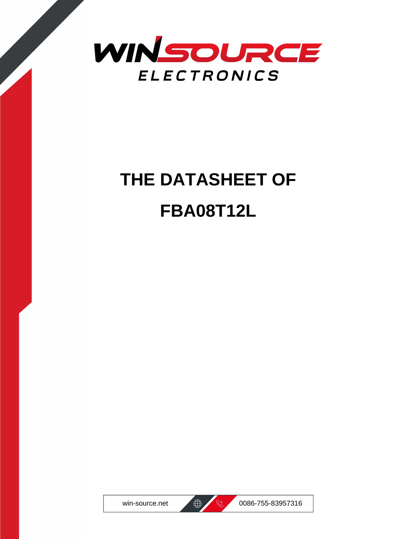

# **THE DATASHEET OF FBA08T12L**





win-source.net  $\bigoplus$  8 0086-755-83957316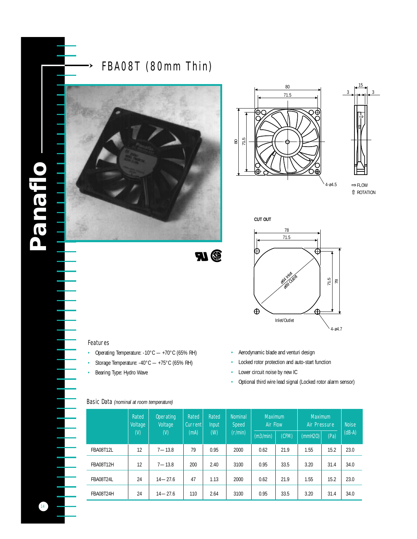

FBA08T (80mm Thin)





FLOW ROTATION

4-ø4.5





#### Features

•≻

- Operating Temperature: -10°C +70°C (65% RH)
- Storage Temperature: -40°C +75°C (65% RH)
- Bearing Type: Hydro Wave
- Aerodynamic blade and venturi design
- Locked rotor protection and auto-start function
- Lower circuit noise by new IC
- Optional third wire lead signal (Locked rotor alarm sensor)

#### Basic Data *(nominal at room temperature)*

|                  | <b>Rated</b><br><b>Voltage</b><br>$\omega$ | <b>Operating</b><br><b>Voltage</b><br>$($ <sup><math>\mathbf{v}</math></sup> | <b>Rated</b><br><b>Current</b><br>(mA) | <b>Rated</b><br><b>Input</b><br>(W) | <b>Nominal</b><br><b>Speed</b><br>(r/min) | <b>Maximum</b><br><b>Air Flow</b> |       | <b>Maximum</b><br><b>Air Pressure</b> |      | <b>Noise</b> |
|------------------|--------------------------------------------|------------------------------------------------------------------------------|----------------------------------------|-------------------------------------|-------------------------------------------|-----------------------------------|-------|---------------------------------------|------|--------------|
|                  |                                            |                                                                              |                                        |                                     |                                           | (m3/min)                          | (CFM) | (mmH20)                               | (Pa) | $(dB-A)$     |
| <b>FBA08T12L</b> | 12                                         | $7 - 13.8$                                                                   | 79                                     | 0.95                                | 2000                                      | 0.62                              | 21.9  | 1.55                                  | 15.2 | 23.0         |
| FBA08T12H        | 12                                         | $7 - 13.8$                                                                   | 200                                    | 2.40                                | 3100                                      | 0.95                              | 33.5  | 3.20                                  | 31.4 | 34.0         |
| FBA08T24L        | 24                                         | $14 - 27.6$                                                                  | 47                                     | 1.13                                | 2000                                      | 0.62                              | 21.9  | 1.55                                  | 15.2 | 23.0         |
| FBA08T24H        | 24                                         | $14 - 27.6$                                                                  | 110                                    | 2.64                                | 3100                                      | 0.95                              | 33.5  | 3.20                                  | 31.4 | 34.0         |

**BU**